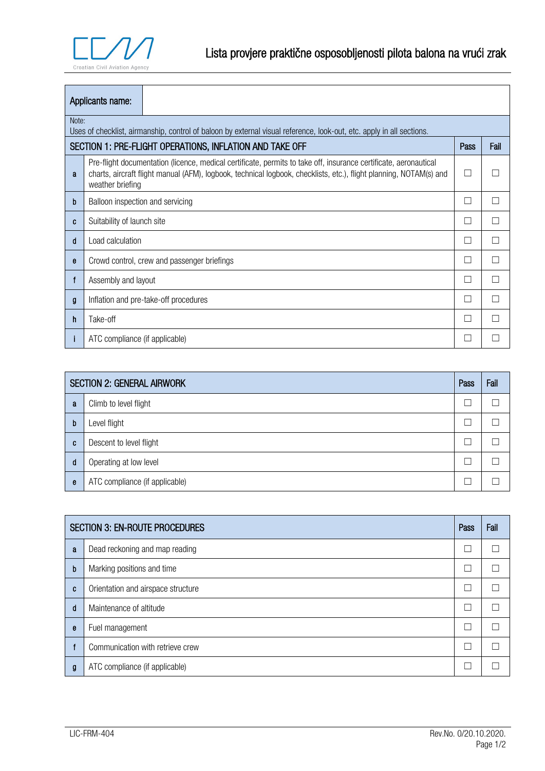

| Applicants name:                                                                                                              |                                                                                                                                                                                                                                                            |  |   |  |
|-------------------------------------------------------------------------------------------------------------------------------|------------------------------------------------------------------------------------------------------------------------------------------------------------------------------------------------------------------------------------------------------------|--|---|--|
| Note:<br>Uses of checklist, airmanship, control of baloon by external visual reference, look-out, etc. apply in all sections. |                                                                                                                                                                                                                                                            |  |   |  |
|                                                                                                                               | SECTION 1: PRE-FLIGHT OPERATIONS, INFLATION AND TAKE OFF<br>Pass<br>Fail                                                                                                                                                                                   |  |   |  |
| a                                                                                                                             | Pre-flight documentation (licence, medical certificate, permits to take off, insurance certificate, aeronautical<br>charts, aircraft flight manual (AFM), logbook, technical logbook, checklists, etc.), flight planning, NOTAM(s) and<br>weather briefing |  |   |  |
| b                                                                                                                             | Balloon inspection and servicing                                                                                                                                                                                                                           |  | П |  |
| C                                                                                                                             | Suitability of launch site                                                                                                                                                                                                                                 |  | П |  |
| d                                                                                                                             | Load calculation                                                                                                                                                                                                                                           |  | П |  |
| e                                                                                                                             | Crowd control, crew and passenger briefings                                                                                                                                                                                                                |  | П |  |
| f                                                                                                                             | Assembly and layout                                                                                                                                                                                                                                        |  | П |  |
| g                                                                                                                             | Inflation and pre-take-off procedures                                                                                                                                                                                                                      |  | П |  |
| h                                                                                                                             | Take-off                                                                                                                                                                                                                                                   |  | П |  |
|                                                                                                                               | ATC compliance (if applicable)                                                                                                                                                                                                                             |  |   |  |

| <b>SECTION 2: GENERAL AIRWORK</b> |                                |  | Fail |
|-----------------------------------|--------------------------------|--|------|
| a                                 | Climb to level flight          |  |      |
| b                                 | Level flight                   |  |      |
| c                                 | Descent to level flight        |  |      |
| d                                 | Operating at low level         |  |      |
| e                                 | ATC compliance (if applicable) |  |      |

| <b>SECTION 3: EN-ROUTE PROCEDURES</b> |                                    |   | Fail |
|---------------------------------------|------------------------------------|---|------|
| a                                     | Dead reckoning and map reading     |   |      |
| $\mathbf b$                           | Marking positions and time         |   |      |
| C                                     | Orientation and airspace structure | Τ |      |
| d                                     | Maintenance of altitude            |   |      |
| e                                     | Fuel management                    | Ξ |      |
|                                       | Communication with retrieve crew   |   |      |
| g                                     | ATC compliance (if applicable)     |   |      |